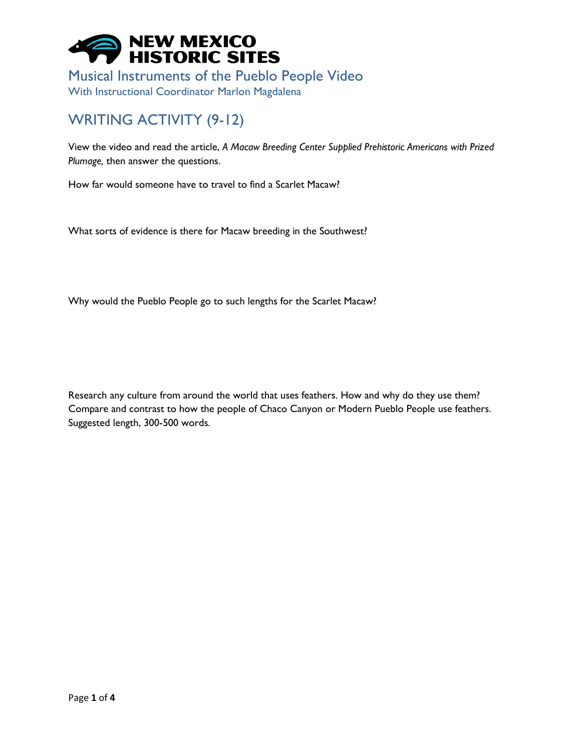

Musical Instruments of the Pueblo People Video With Instructional Coordinator Marlon Magdalena

## WRITING ACTIVITY (9-12)

View the video and read the article, *A Macaw Breeding Center Supplied Prehistoric Americans with Prized Plumage,* then answer the questions.

How far would someone have to travel to find a Scarlet Macaw?

What sorts of evidence is there for Macaw breeding in the Southwest?

Why would the Pueblo People go to such lengths for the Scarlet Macaw?

Research any culture from around the world that uses feathers. How and why do they use them? Compare and contrast to how the people of Chaco Canyon or Modern Pueblo People use feathers. Suggested length, 300-500 words.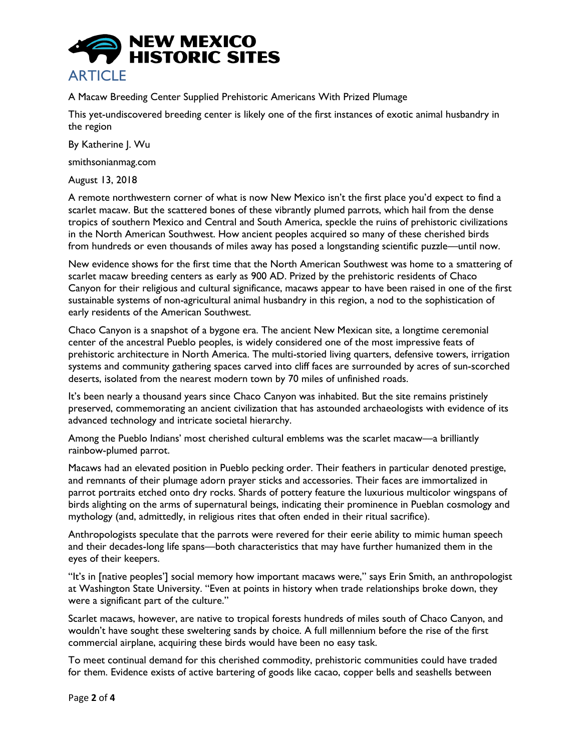

A Macaw Breeding Center Supplied Prehistoric Americans With Prized Plumage

This yet-undiscovered breeding center is likely one of the first instances of exotic animal husbandry in the region

By Katherine J. Wu

smithsonianmag.com

August 13, 2018

A remote northwestern corner of what is now New Mexico isn't the first place you'd expect to find a scarlet macaw. But the scattered bones of these vibrantly plumed parrots, which hail from the dense tropics of southern Mexico and Central and South America, speckle the ruins of prehistoric civilizations in the North American Southwest. How ancient peoples acquired so many of these cherished birds from hundreds or even thousands of miles away has posed a longstanding scientific puzzle—until now.

New evidence shows for the first time that the North American Southwest was home to a smattering of scarlet macaw breeding centers as early as 900 AD. Prized by the prehistoric residents of Chaco Canyon for their religious and cultural significance, macaws appear to have been raised in one of the first sustainable systems of non-agricultural animal husbandry in this region, a nod to the sophistication of early residents of the American Southwest.

Chaco Canyon is a snapshot of a bygone era. The ancient New Mexican site, a longtime ceremonial center of the ancestral Pueblo peoples, is widely considered one of the most impressive feats of prehistoric architecture in North America. The multi-storied living quarters, defensive towers, irrigation systems and community gathering spaces carved into cliff faces are surrounded by acres of sun-scorched deserts, isolated from the nearest modern town by 70 miles of unfinished roads.

It's been nearly a thousand years since Chaco Canyon was inhabited. But the site remains pristinely preserved, commemorating an ancient civilization that has astounded archaeologists with evidence of its advanced technology and intricate societal hierarchy.

Among the Pueblo Indians' most cherished cultural emblems was the scarlet macaw—a brilliantly rainbow-plumed parrot.

Macaws had an elevated position in Pueblo pecking order. Their feathers in particular denoted prestige, and remnants of their plumage adorn prayer sticks and accessories. Their faces are immortalized in parrot portraits etched onto dry rocks. Shards of pottery feature the luxurious multicolor wingspans of birds alighting on the arms of supernatural beings, indicating their prominence in Pueblan cosmology and mythology (and, admittedly, in religious rites that often ended in their ritual sacrifice).

Anthropologists speculate that the parrots were revered for their eerie ability to mimic human speech and their decades-long life spans—both characteristics that may have further humanized them in the eyes of their keepers.

"It's in [native peoples'] social memory how important macaws were," says Erin Smith, an anthropologist at Washington State University. "Even at points in history when trade relationships broke down, they were a significant part of the culture."

Scarlet macaws, however, are native to tropical forests hundreds of miles south of Chaco Canyon, and wouldn't have sought these sweltering sands by choice. A full millennium before the rise of the first commercial airplane, acquiring these birds would have been no easy task.

To meet continual demand for this cherished commodity, prehistoric communities could have traded for them. Evidence exists of active bartering of goods like cacao, copper bells and seashells between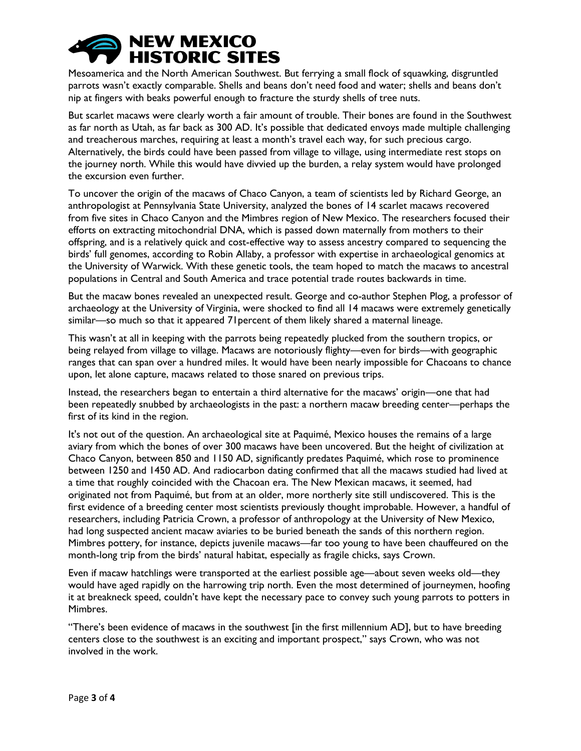

Mesoamerica and the North American Southwest. But ferrying a small flock of squawking, disgruntled parrots wasn't exactly comparable. Shells and beans don't need food and water; shells and beans don't nip at fingers with beaks powerful enough to fracture the sturdy shells of tree nuts.

But scarlet macaws were clearly worth a fair amount of trouble. Their bones are found in the Southwest as far north as Utah, as far back as 300 AD. It's possible that dedicated envoys made multiple challenging and treacherous marches, requiring at least a month's travel each way, for such precious cargo. Alternatively, the birds could have been passed from village to village, using intermediate rest stops on the journey north. While this would have divvied up the burden, a relay system would have prolonged the excursion even further.

To uncover the origin of the macaws of Chaco Canyon, a team of scientists led by Richard George, an anthropologist at Pennsylvania State University, analyzed the bones of 14 scarlet macaws recovered from five sites in Chaco Canyon and the Mimbres region of New Mexico. The researchers focused their efforts on extracting mitochondrial DNA, which is passed down maternally from mothers to their offspring, and is a relatively quick and cost-effective way to assess ancestry compared to sequencing the birds' full genomes, according to Robin Allaby, a professor with expertise in archaeological genomics at the University of Warwick. With these genetic tools, the team hoped to match the macaws to ancestral populations in Central and South America and trace potential trade routes backwards in time.

But the macaw bones revealed an unexpected result. George and co-author Stephen Plog, a professor of archaeology at the University of Virginia, were shocked to find all 14 macaws were extremely genetically similar—so much so that it appeared 71percent of them likely shared a maternal lineage.

This wasn't at all in keeping with the parrots being repeatedly plucked from the southern tropics, or being relayed from village to village. Macaws are notoriously flighty—even for birds—with geographic ranges that can span over a hundred miles. It would have been nearly impossible for Chacoans to chance upon, let alone capture, macaws related to those snared on previous trips.

Instead, the researchers began to entertain a third alternative for the macaws' origin—one that had been repeatedly snubbed by archaeologists in the past: a northern macaw breeding center—perhaps the first of its kind in the region.

It's not out of the question. An archaeological site at Paquimé, Mexico houses the remains of a large aviary from which the bones of over 300 macaws have been uncovered. But the height of civilization at Chaco Canyon, between 850 and 1150 AD, significantly predates Paquimé, which rose to prominence between 1250 and 1450 AD. And radiocarbon dating confirmed that all the macaws studied had lived at a time that roughly coincided with the Chacoan era. The New Mexican macaws, it seemed, had originated not from Paquimé, but from at an older, more northerly site still undiscovered. This is the first evidence of a breeding center most scientists previously thought improbable. However, a handful of researchers, including Patricia Crown, a professor of anthropology at the University of New Mexico, had long suspected ancient macaw aviaries to be buried beneath the sands of this northern region. Mimbres pottery, for instance, depicts juvenile macaws—far too young to have been chauffeured on the month-long trip from the birds' natural habitat, especially as fragile chicks, says Crown.

Even if macaw hatchlings were transported at the earliest possible age—about seven weeks old—they would have aged rapidly on the harrowing trip north. Even the most determined of journeymen, hoofing it at breakneck speed, couldn't have kept the necessary pace to convey such young parrots to potters in Mimbres.

"There's been evidence of macaws in the southwest [in the first millennium AD], but to have breeding centers close to the southwest is an exciting and important prospect," says Crown, who was not involved in the work.